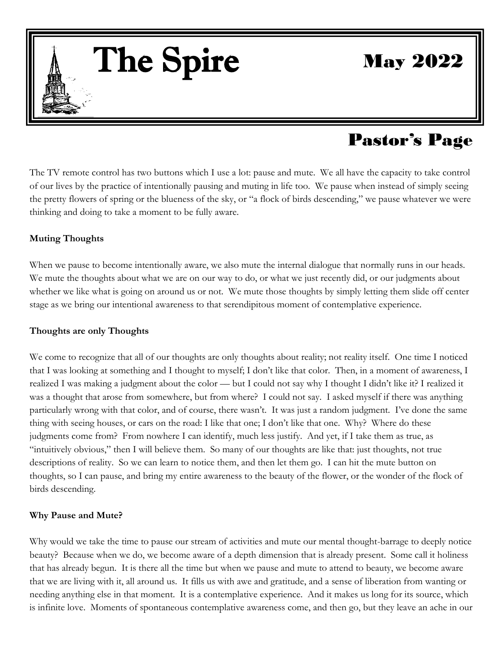The Spire

May 2022

# Pastor's Page

The TV remote control has two buttons which I use a lot: pause and mute. We all have the capacity to take control of our lives by the practice of intentionally pausing and muting in life too. We pause when instead of simply seeing the pretty flowers of spring or the blueness of the sky, or "a flock of birds descending," we pause whatever we were thinking and doing to take a moment to be fully aware. he<br>.

#### **Muting Thoughts**

 $\|$  . The set of  $\|$ 

When we pause to become intentionally aware, we also mute the internal dialogue that normally runs in our heads.<br>We mute the thoughts about what we are on our way to do, or what we just recently did, or our judgments about We mute the thoughts about what we are on our way to do, or what we just recently did, or our judgments about whether we like what is going on around us or not. We mute those thoughts by simply letting them slide off center stage as we bring our intentional awareness to that serendipitous moment of contemplative experience.

# **Thoughts are only Thoughts**  $\frac{1}{2}$

We come to recognize that all of our thoughts are only thoughts about reality; not reality itself. One time I noticed that I was looking at something and I thought to myself; I don't like that color. Then, in a moment of awareness, I realized I was making a judgment about the color — but I could not say why I thought I didn't like it? I realized it was a thought that arose from somewhere, but from where? I could not say. I asked myself if there was anything particularly wrong with that color, and of course, there wasn't. It was just a random judgment. I've done the same thing with seeing houses, or cars on the road: I like that one; I don't like that one. Why? Where do these judgments come from? From nowhere I can identify, much less justify. And yet, if I take them as true, as "intuitively obvious," then I will believe them. So many of our thoughts are like that: just thoughts, not true descriptions of reality. So we can learn to notice them, and then let them go. I can hit the mute button on thoughts, so I can pause, and bring my entire awareness to the beauty of the flower, or the wonder of the flock of birds descending. <sup>7</sup>e<br>.at

#### **Why Pause and Mute?**

Why would we take the time to pause our stream of activities and mute our mental thought-barrage to deeply notice beauty? Because when we do, we become aware of a depth dimension that is already present. Some call it holiness that has already begun. It is there all the time but when we pause and mute to attend to beauty, we become aware that we are living with it, all around us. It fills us with awe and gratitude, and a sense of liberation from wanting or needing anything else in that moment. It is a contemplative experience. And it makes us long for its source, which is infinite love. Moments of spontaneous contemplative awareness come, and then go, but they leave an ache in our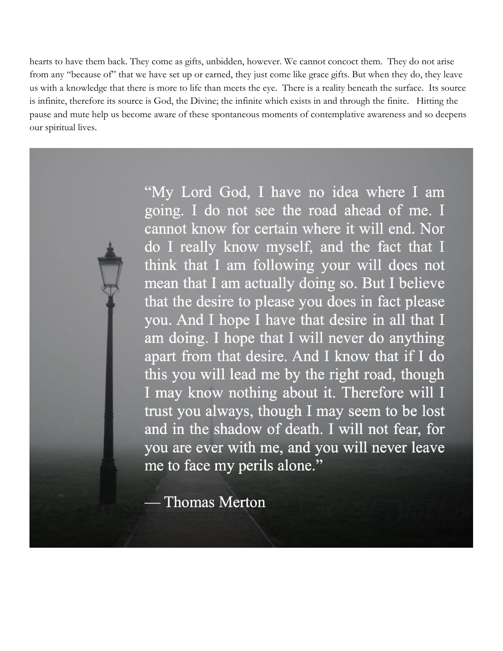hearts to have them back. They come as gifts, unbidden, however. We cannot concoct them. They do not arise from any "because of" that we have set up or earned, they just come like grace gifts. But when they do, they leave us with a knowledge that there is more to life than meets the eye. There is a reality beneath the surface. Its source is infinite, therefore its source is God, the Divine; the infinite which exists in and through the finite. Hitting the pause and mute help us become aware of these spontaneous moments of contemplative awareness and so deepens our spiritual lives.

> "My Lord God, I have no idea where I am going. I do not see the road ahead of me. I cannot know for certain where it will end. Nor do I really know myself, and the fact that I think that I am following your will does not mean that I am actually doing so. But I believe that the desire to please you does in fact please you. And I hope I have that desire in all that I am doing. I hope that I will never do anything apart from that desire. And I know that if I do this you will lead me by the right road, though I may know nothing about it. Therefore will I trust you always, though I may seem to be lost and in the shadow of death. I will not fear, for you are ever with me, and you will never leave me to face my perils alone."

**Thomas Merton**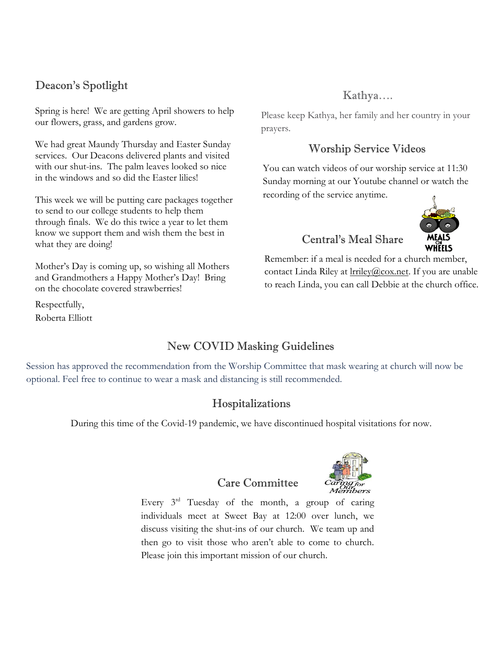### Deacon's Spotlight

Spring is here! We are getting April showers to help our flowers, grass, and gardens grow.

We had great Maundy Thursday and Easter Sunday services. Our Deacons delivered plants and visited with our shut-ins. The palm leaves looked so nice in the windows and so did the Easter lilies!

This week we will be putting care packages together to send to our college students to help them through finals. We do this twice a year to let them know we support them and wish them the best in what they are doing!

Mother's Day is coming up, so wishing all Mothers and Grandmothers a Happy Mother's Day! Bring on the chocolate covered strawberries!

Respectfully, Roberta Elliott

## Kathya….

Please keep Kathya, her family and her country in your prayers.

### Worship Service Videos

You can watch videos of our worship service at 11:30 Sunday morning at our Youtube channel or watch the recording of the service anytime.

# Central's Meal Share



Remember: if a meal is needed for a church member, contact Linda Riley at *Irriley@cox.net*. If you are unable to reach Linda, you can call Debbie at the church office.

### New COVID Masking Guidelines

Session has approved the recommendation from the Worship Committee that mask wearing at church will now be optional. Feel free to continue to wear a mask and distancing is still recommended.

### Hospitalizations

During this time of the Covid-19 pandemic, we have discontinued hospital visitations for now.

#### Care Committee

Every  $3<sup>rd</sup>$  Tuesday of the month, a group of caring individuals meet at Sweet Bay at 12:00 over lunch, we discuss visiting the shut-ins of our church. We team up and then go to visit those who aren't able to come to church. Please join this important mission of our church.

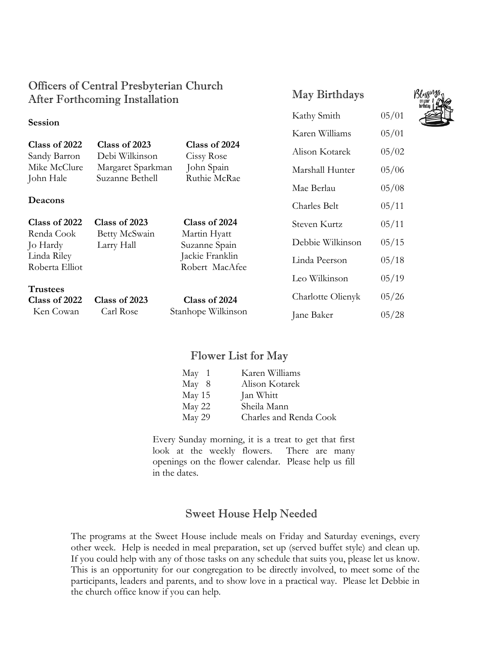### Officers of Central Presbyterian Church After Forthcoming Installation

#### **Session**

| Class of 2022 | Class of 2023     | Class of 2024 |
|---------------|-------------------|---------------|
| Sandy Barron  | Debi Wilkinson    | Cissy Rose    |
| Mike McClure  | Margaret Sparkman | John Spain    |
| John Hale     | Suzanne Bethell   | Ruthie McRae  |
|               |                   |               |

#### **Deacons**

| Class of 2022<br>Renda Cook<br>Jo Hardy<br>Linda Riley<br>Roberta Elliot | Class of 2023<br>Betty McSwain<br>Larry Hall | Class of 2024<br>Martin Hyatt<br>Suzanne Spain<br>Jackie Franklin<br>Robert MacAfee | Steven Kurtz<br>Debbie Wilkinson<br>Linda Peerson | 05/11<br>05/15<br>05/18 |
|--------------------------------------------------------------------------|----------------------------------------------|-------------------------------------------------------------------------------------|---------------------------------------------------|-------------------------|
| <b>Trustees</b>                                                          |                                              |                                                                                     | Leo Wilkinson                                     | 05/19                   |
| Class of 2022<br>Ken Cowan                                               | Class of 2023                                | Class of 2024                                                                       | Charlotte Olienyk                                 | 05/26                   |
|                                                                          | Carl Rose                                    | Stanhope Wilkinson                                                                  | Jane Baker                                        | 05/28                   |

#### Flower List for May

| May 1  | Karen Williams         |
|--------|------------------------|
| May 8  | Alison Kotarek         |
| May 15 | Jan Whitt              |
| May 22 | Sheila Mann            |
| May 29 | Charles and Renda Cook |
|        |                        |

Every Sunday morning, it is a treat to get that first look at the weekly flowers. There are many openings on the flower calendar. Please help us fill in the dates.

### Sweet House Help Needed

The programs at the Sweet House include meals on Friday and Saturday evenings, every other week. Help is needed in meal preparation, set up (served buffet style) and clean up. If you could help with any of those tasks on any schedule that suits you, please let us know. This is an opportunity for our congregation to be directly involved, to meet some of the participants, leaders and parents, and to show love in a practical way. Please let Debbie in the church office know if you can help.



May Birthdays

Kathy Smith 05/01

Karen Williams 05/01

Alison Kotarek 05/02

Marshall Hunter 05/06

Mae Berlau  $05/08$ 

Charles Belt  $05/11$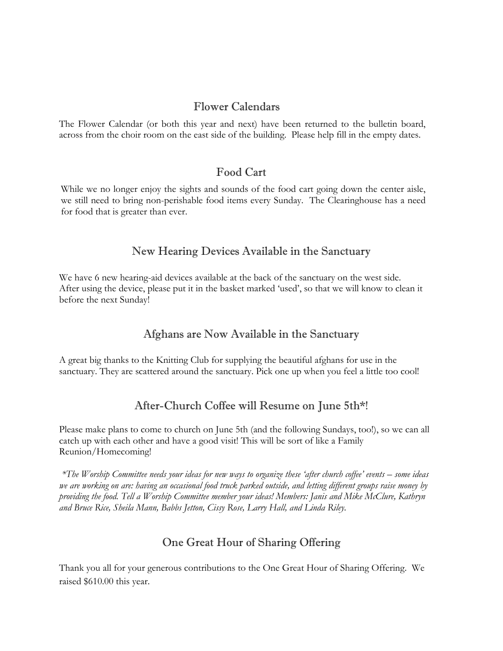#### Flower Calendars

The Flower Calendar (or both this year and next) have been returned to the bulletin board, across from the choir room on the east side of the building. Please help fill in the empty dates.

#### Food Cart

While we no longer enjoy the sights and sounds of the food cart going down the center aisle, we still need to bring non-perishable food items every Sunday. The Clearinghouse has a need for food that is greater than ever.

#### New Hearing Devices Available in the Sanctuary

We have 6 new hearing-aid devices available at the back of the sanctuary on the west side. After using the device, please put it in the basket marked 'used', so that we will know to clean it before the next Sunday!

### Afghans are Now Available in the Sanctuary

A great big thanks to the Knitting Club for supplying the beautiful afghans for use in the sanctuary. They are scattered around the sanctuary. Pick one up when you feel a little too cool!

### After-Church Coffee will Resume on June 5th\*!

Please make plans to come to church on June 5th (and the following Sundays, too!), so we can all catch up with each other and have a good visit! This will be sort of like a Family Reunion/Homecoming!

*\*The Worship Committee needs your ideas for new ways to organize these 'after church coffee' events – some ideas we are working on are: having an occasional food truck parked outside, and letting different groups raise money by providing the food. Tell a Worship Committee member your ideas! Members: Janis and Mike McClure, Kathryn and Bruce Rice, Sheila Mann, Babbs Jetton, Cissy Rose, Larry Hall, and Linda Riley.*

### One Great Hour of Sharing Offering

Thank you all for your generous contributions to the One Great Hour of Sharing Offering. We raised \$610.00 this year.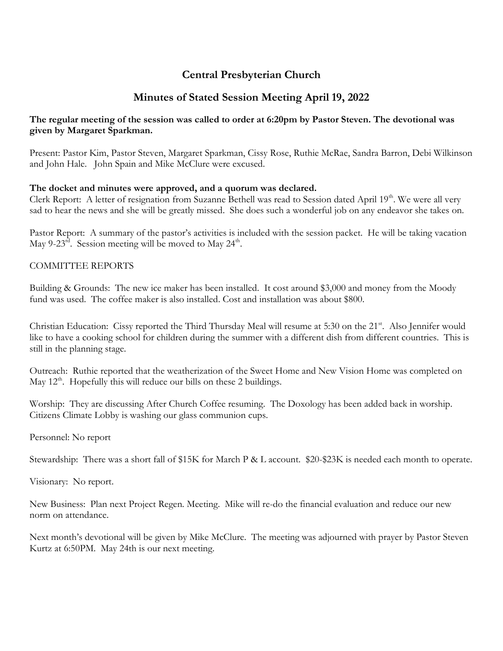### **Central Presbyterian Church**

#### **Minutes of Stated Session Meeting April 19, 2022**

#### **The regular meeting of the session was called to order at 6:20pm by Pastor Steven. The devotional was given by Margaret Sparkman.**

Present: Pastor Kim, Pastor Steven, Margaret Sparkman, Cissy Rose, Ruthie McRae, Sandra Barron, Debi Wilkinson and John Hale. John Spain and Mike McClure were excused.

#### **The docket and minutes were approved, and a quorum was declared.**

Clerk Report: A letter of resignation from Suzanne Bethell was read to Session dated April 19<sup>th</sup>. We were all very sad to hear the news and she will be greatly missed. She does such a wonderful job on any endeavor she takes on.

Pastor Report: A summary of the pastor's activities is included with the session packet. He will be taking vacation May 9-23 $^{\text{rd}}$ . Session meeting will be moved to May 24<sup>th</sup>.

#### COMMITTEE REPORTS

Building & Grounds: The new ice maker has been installed. It cost around \$3,000 and money from the Moody fund was used. The coffee maker is also installed. Cost and installation was about \$800.

Christian Education: Cissy reported the Third Thursday Meal will resume at 5:30 on the 21<sup>st</sup>. Also Jennifer would like to have a cooking school for children during the summer with a different dish from different countries. This is still in the planning stage.

Outreach: Ruthie reported that the weatherization of the Sweet Home and New Vision Home was completed on May  $12<sup>th</sup>$ . Hopefully this will reduce our bills on these 2 buildings.

Worship: They are discussing After Church Coffee resuming. The Doxology has been added back in worship. Citizens Climate Lobby is washing our glass communion cups.

Personnel: No report

Stewardship: There was a short fall of \$15K for March P & L account. \$20-\$23K is needed each month to operate.

Visionary: No report.

New Business: Plan next Project Regen. Meeting. Mike will re-do the financial evaluation and reduce our new norm on attendance.

Next month's devotional will be given by Mike McClure. The meeting was adjourned with prayer by Pastor Steven Kurtz at 6:50PM. May 24th is our next meeting.